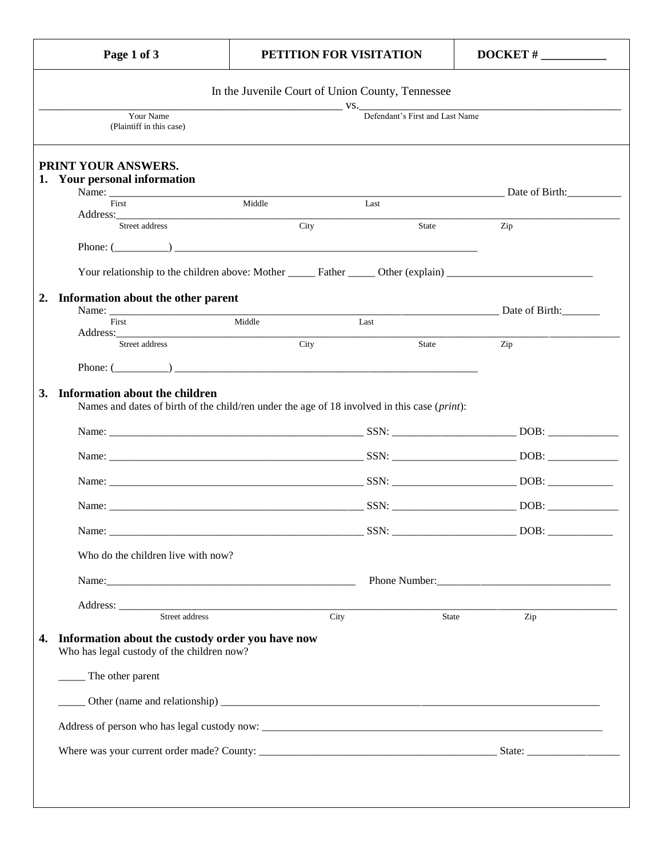| Page 1 of 3                                                                                                                    |                                                  | PETITION FOR VISITATION         | $DOCKET$ #                                                                                                                                                                                                                           |
|--------------------------------------------------------------------------------------------------------------------------------|--------------------------------------------------|---------------------------------|--------------------------------------------------------------------------------------------------------------------------------------------------------------------------------------------------------------------------------------|
|                                                                                                                                | In the Juvenile Court of Union County, Tennessee |                                 |                                                                                                                                                                                                                                      |
| Your Name<br>(Plaintiff in this case)                                                                                          |                                                  | Defendant's First and Last Name | <u>with the community of the community of the community of the community of the community of the community of the community of the community of the community of the community of the community of the community of the communit</u> |
| PRINT YOUR ANSWERS.<br>1. Your personal information                                                                            |                                                  |                                 |                                                                                                                                                                                                                                      |
| Name:                                                                                                                          |                                                  |                                 | Date of Birth: 2008. 2010. 2010. 2010. 2010. 2010. 2010. 2011. 2012. 2014. 2016. 2017. 2018. 2019. 2017. 2017.                                                                                                                       |
| First                                                                                                                          | Middle                                           | Last                            |                                                                                                                                                                                                                                      |
| Street address                                                                                                                 | City                                             | State                           | Zip                                                                                                                                                                                                                                  |
| Phone: $($                                                                                                                     |                                                  |                                 |                                                                                                                                                                                                                                      |
| Your relationship to the children above: Mother ______ Father _____ Other (explain) __________________________                 |                                                  |                                 |                                                                                                                                                                                                                                      |
| Information about the other parent                                                                                             |                                                  |                                 |                                                                                                                                                                                                                                      |
|                                                                                                                                |                                                  |                                 | Middle Tast Tast Date of Birth:                                                                                                                                                                                                      |
| First                                                                                                                          |                                                  | Last                            |                                                                                                                                                                                                                                      |
| Street address                                                                                                                 | City                                             | State                           | Zip                                                                                                                                                                                                                                  |
|                                                                                                                                |                                                  |                                 |                                                                                                                                                                                                                                      |
|                                                                                                                                |                                                  |                                 |                                                                                                                                                                                                                                      |
|                                                                                                                                |                                                  |                                 |                                                                                                                                                                                                                                      |
| Information about the children<br>Names and dates of birth of the child/ren under the age of 18 involved in this case (print): |                                                  |                                 |                                                                                                                                                                                                                                      |
|                                                                                                                                |                                                  |                                 |                                                                                                                                                                                                                                      |
|                                                                                                                                |                                                  |                                 |                                                                                                                                                                                                                                      |
|                                                                                                                                |                                                  |                                 |                                                                                                                                                                                                                                      |
|                                                                                                                                |                                                  |                                 |                                                                                                                                                                                                                                      |
|                                                                                                                                |                                                  |                                 |                                                                                                                                                                                                                                      |
|                                                                                                                                |                                                  |                                 |                                                                                                                                                                                                                                      |
| Who do the children live with now?                                                                                             |                                                  |                                 |                                                                                                                                                                                                                                      |
|                                                                                                                                |                                                  |                                 |                                                                                                                                                                                                                                      |
|                                                                                                                                |                                                  |                                 |                                                                                                                                                                                                                                      |
|                                                                                                                                |                                                  |                                 |                                                                                                                                                                                                                                      |
| Address: <u>Street address</u> City                                                                                            |                                                  |                                 | State<br>Zip                                                                                                                                                                                                                         |
| Information about the custody order you have now<br>Who has legal custody of the children now?                                 |                                                  |                                 |                                                                                                                                                                                                                                      |
|                                                                                                                                |                                                  |                                 |                                                                                                                                                                                                                                      |
| ______ The other parent                                                                                                        |                                                  |                                 |                                                                                                                                                                                                                                      |
| $\frac{1}{1}$                                                                                                                  |                                                  |                                 |                                                                                                                                                                                                                                      |
|                                                                                                                                |                                                  |                                 |                                                                                                                                                                                                                                      |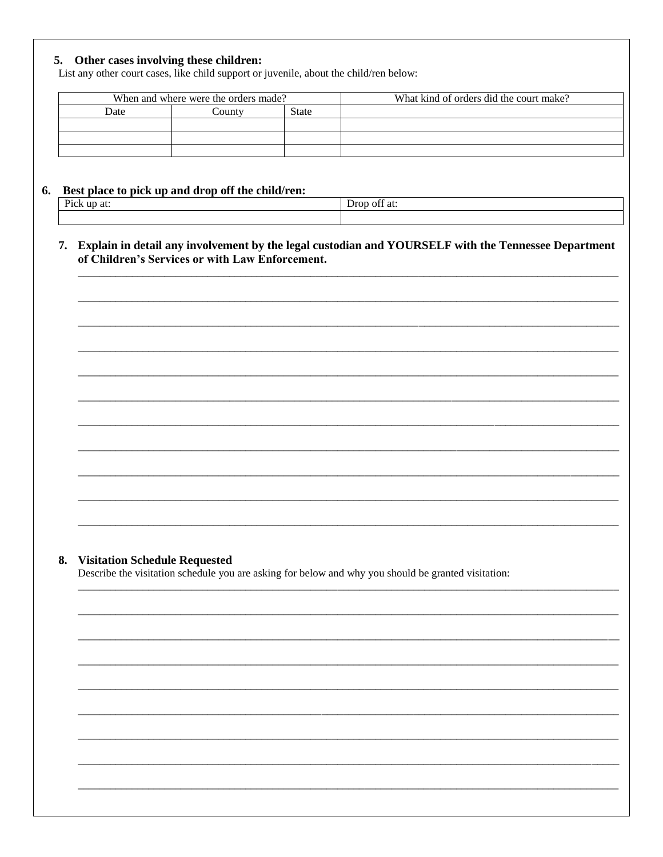## 5. Other cases involving these children:

List any other court cases, like child support or juvenile, about the child/ren below:

| When and where were the orders made? |        |       | What kind of orders did the court make? |
|--------------------------------------|--------|-------|-----------------------------------------|
| Date                                 | `ountv | State |                                         |
|                                      |        |       |                                         |
|                                      |        |       |                                         |
|                                      |        |       |                                         |

## 6. Best place to pick up and drop off the child/ren:

| Pick<br>up at: | $\sim$<br>off at:<br>1<br>້ |
|----------------|-----------------------------|
|                |                             |

7. Explain in detail any involvement by the legal custodian and YOURSELF with the Tennessee Department of Children's Services or with Law Enforcement.

## 8. Visitation Schedule Requested

Describe the visitation schedule you are asking for below and why you should be granted visitation: